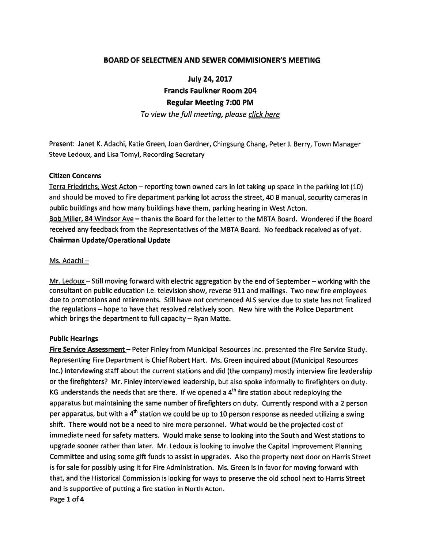## BOARD OF SELECTMEN AND SEWER COMMISIONER'S MEETING

July 24, 2017 Francis Faulkner Room 204 Regular Meeting 7:00 PM To view the full meeting, please click here

Present: Janet K. Adachi, Katie Green, Joan Gardner, Chingsung Chang, Peter J. Berry, Town Manager Steve Ledoux, and Lisa Tomyl, Recording Secretary

### Citizen Concerns

Terra Friedrichs, West Acton – reporting town owned cars in lot taking up space in the parking lot (10) and should be moved to fire department parking lot across the street, 40 B manual, security cameras in public buildings and how many buildings have them, parking hearing in West Acton. Bob Miller, 84 Windsor Ave — thanks the Board for the letter to the MBTA Board. Wondered if the Board received any feedback from the Representatives of the MBTA Board. No feedback received as of yet. Chairman Update/Operational Update

#### Ms. Adachi —

Mr. Ledoux – Still moving forward with electric aggregation by the end of September – working with the consultant on public education i.e. television show, reverse 911 and mailings. Two new fire employees due to promotions and retirements. Still have not commenced ALS service due to state has not finalized the regulations — hope to have that resolved relatively soon. New hire with the Police Department which brings the department to full capacity — Ryan Matte.

#### Public Hearings

Fire Service Assessment – Peter Finley from Municipal Resources Inc. presented the Fire Service Study. Representing Fire Department is Chief Robert Hart. Ms. Green inquired about (Municipal Resources Inc.) interviewing staff about the current stations and did (the company) mostly interview fire leadership or the firefighters? Mr. Finley interviewed leadership, but also spoke informally to firefighters on duty. KG understands the needs that are there. If we opened a  $4<sup>th</sup>$  fire station about redeploying the apparatus but maintaining the same number of firefighters on duty. Currently respond with <sup>a</sup> 2 person per apparatus, but with a 4<sup>th</sup> station we could be up to 10 person response as needed utilizing a swing shift. There would not be <sup>a</sup> need to hire more personnel. What would be the projected cost of immediate need for safety matters. Would make sense to looking into the South and West stations to upgrade sooner rather than later. Mr. Ledoux is looking to involve the Capital Improvement Planning Committee and using some gift funds to assist in upgrades. Also the property next door on Harris Street is for sale for possibly using it for Fire Administration. Ms. Green is in favor for moving forward with that, and the Historical Commission is looking for ways to preserve the old school next to Harris Street and is supportive of putting <sup>a</sup> fire station in North Acton. Page 1 of 4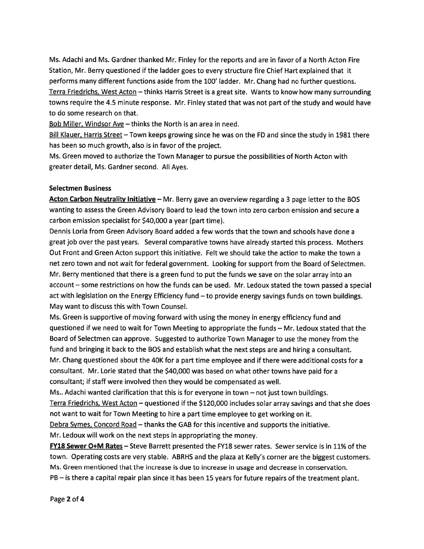Ms. Adachi and Ms. Gardner thanked Mr. Finley for the reports and are in favor of <sup>a</sup> North Acton Fire Station, Mr. Berry questioned if the ladder goes to every structure fire Chief Hart explained that it performs many different functions aside from the 100' ladder. Mr. Chang had no further questions. Terra Friedrichs, West Acton — thinks Harris Street is <sup>a</sup> grea<sup>t</sup> site. Wants to know how many surrounding towns require the 4.5 minute response. Mr. Finley stated that was not par<sup>t</sup> of the study and would have to do some research on that.

Bob Miller, Windsor Ave — thinks the North is an area in need.

Bill Klauer, Harris Street — Town keeps growing since he was on the FD and since the study in 1981 there has been so much growth, also is in favor of the project.

Ms. Green moved to authorize the Town Manager to pursue the possibilities of North Acton with greater detail, Ms. Gardner second. All Ayes.

## Selectmen Business

Acton Carbon Neutrality Initiative - Mr. Berry gave an overview regarding a 3 page letter to the BOS wanting to assess the Green Advisory Board to lead the town into zero carbon emission and secure <sup>a</sup> carbon emission specialist for \$40,000 <sup>a</sup> year (part time).

Dennis Loria from Green Advisory Board added <sup>a</sup> few words that the town and schools have done <sup>a</sup> grea<sup>t</sup> job over the pas<sup>t</sup> years. Several comparative towns have already started this process. Mothers Out Front and Green Acton suppor<sup>t</sup> this initiative. Felt we should take the action to make the town <sup>a</sup> net zero town and not wait for federal government. Looking for suppor<sup>t</sup> from the Board of Selectmen. Mr. Berry mentioned that there is <sup>a</sup> green fund to pu<sup>t</sup> the funds we save on the solar array into an account — some restrictions on how the funds can be used. Mr. Ledoux stated the town passed <sup>a</sup> special act with legislation on the Energy Efficiency fund — to provide energy savings funds on town buildings. May want to discuss this with Town Counsel.

Ms. Green is supportive of moving forward with using the money in energy efficiency fund and questioned if we need to wait for Town Meeting to appropriate the funds — Mr. Ledoux stated that the Board of Selectmen can approve. Suggested to authorize Town Manager to use the money from the fund and bringing it back to the BOS and establish what the next steps are and hiring <sup>a</sup> consultant. Mr. Chang questioned about the 40K for <sup>a</sup> par<sup>t</sup> time employee and if there were additional costs for <sup>a</sup> consultant. Mr. Lorie stated that the \$40,000 was based on what other towns have paid for a consultant; if staff were involved then they would be compensated as well.

Ms.. Adachi wanted clarification that this is for everyone in town — not just town buildings.

Terra Friedrichs, West Acton — questioned if the \$120,000 includes solar array savings and that she does not want to wait for Town Meeting to hire <sup>a</sup> par<sup>t</sup> time employee to ge<sup>t</sup> working on it.

Debra Symes, Concord Road — thanks the GAB for this incentive and supports the initiative. Mr. Ledoux will work on the next steps in appropriating the money.

FY18 Sewer O+M Rates - Steve Barrett presented the FY18 sewer rates. Sewer service is in 11% of the town. Operating costs are very stable. ABRHS and the plaza at Kelly's corner are the biggest customers. Ms. Green mentioned that the increase is due to increase in usage and decrease in conservation. PB — is there <sup>a</sup> capital repair plan since it has been 15 years for future repairs of the treatment plant.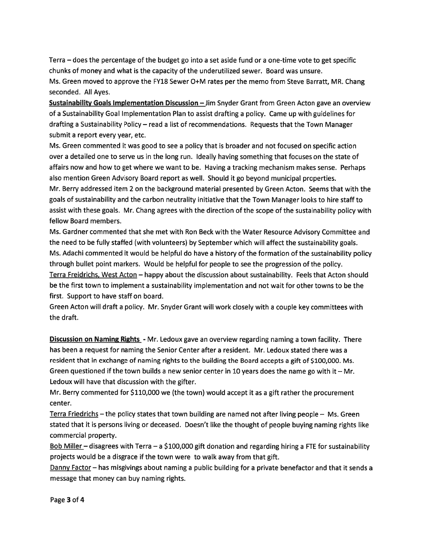Terra — does the percentage of the budget go into <sup>a</sup> set aside fund or <sup>a</sup> one-time vote to ge<sup>t</sup> specific chunks of money and what is the capacity of the underutilized sewer. Board was unsure. Ms. Green moved to approve the FY18 Sewer O+M rates per the memo from Steve Barratt, MR. Chang seconded. All Ayes.

Sustainability Goals Implementation Discussion - Jim Snyder Grant from Green Acton gave an overview of <sup>a</sup> Sustainability Goal Implementation Plan to assist drafting <sup>a</sup> policy. Came up with guidelines for drafting <sup>a</sup> Sustainability Policy — read <sup>a</sup> list of recommendations. Requests that the Town Manager submit <sup>a</sup> repor<sup>t</sup> every year, etc.

Ms. Green commented it was good to see <sup>a</sup> policy that is broader and not focused on specific action over <sup>a</sup> detailed one to serve us in the long run. Ideally having something that focuses on the state of affairs now and how to ge<sup>t</sup> where we want to be. Having <sup>a</sup> tracking mechanism makes sense. Perhaps also mention Green Advisory Board repor<sup>t</sup> as well. Should it go beyond municipal properties. Mr. Berry addressed item 2 on the background material presented by Green Acton. Seems that with the goals of sustainability and the carbon neutrality initiative that the Town Manager looks to hire staff to assist with these goals. Mr. Chang agrees with the direction of the scope of the sustainability policy with fellow Board members.

Ms. Gardner commented that she met with Ron Beck with the Water Resource Advisory Committee and the need to be fully staffed (with volunteers) by September which will affect the sustainability goals. Ms. Adachi commented it would be helpful do have <sup>a</sup> history of the formation of the sustainability policy through bullet point markers. Would be helpful for people to see the progression of the policy. Terra Freidrichs, West Acton — happy about the discussion about sustainability. Feels that Acton should be the first town to implement <sup>a</sup> sustainability implementation and not wait for other towns to be the first. Support to have staff on board.

Green Acton will draft <sup>a</sup> policy. Mr. Snyder Grant will work closely with <sup>a</sup> couple key committees with the draft.

Discussion on Naming Rights - Mr. Ledoux gave an overview regarding naming a town facility. There has been <sup>a</sup> reques<sup>t</sup> for naming the Senior Center after <sup>a</sup> resident. Mr. Ledoux stated there was <sup>a</sup> resident that in exchange of naming rights to the building the Board accepts <sup>a</sup> gift of \$100,000. Ms. Green questioned if the town builds a new senior center in 10 years does the name go with it  $-$  Mr. Ledoux will have that discussion with the gifter.

Mr. Berry commented for \$110,000 we (the town) would accep<sup>t</sup> it as <sup>a</sup> gift rather the procuremen<sup>t</sup> center.

Terra Friedrichs – the policy states that town building are named not after living people – Ms. Green stated that it is persons living or deceased. Doesn't like the thought of people buying naming rights like commercial property.

Bob Miller – disagrees with Terra – a \$100,000 gift donation and regarding hiring a FTE for sustainability projects would be <sup>a</sup> disgrace if the town were to walk away from that gift.

Danny Factor — has misgivings about naming <sup>a</sup> public building for <sup>a</sup> private benefactor and that it sends <sup>a</sup> message that money can buy naming rights.

Page 3 of 4